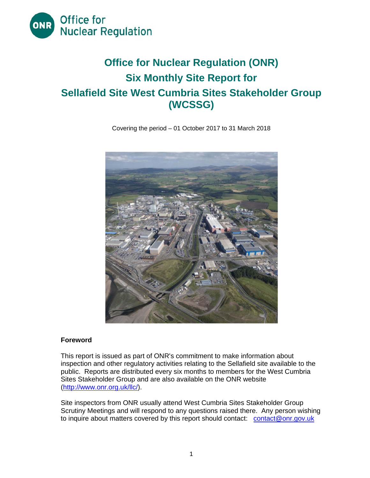

# **Office for Nuclear Regulation (ONR) Six Monthly Site Report for Sellafield Site West Cumbria Sites Stakeholder Group (WCSSG)**

Covering the period – 01 October 2017 to 31 March 2018



# **Foreword**

This report is issued as part of ONR's commitment to make information about inspection and other regulatory activities relating to the Sellafield site available to the public. Reports are distributed every six months to members for the West Cumbria Sites Stakeholder Group and are also available on the ONR website (http://www.onr.org.uk/llc/).

Site inspectors from ONR usually attend West Cumbria Sites Stakeholder Group Scrutiny Meetings and will respond to any questions raised there. Any person wishing to inquire about matters covered by this report should contact: contact@onr.gov.uk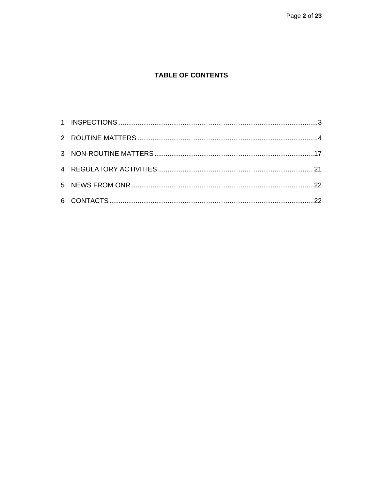# **TABLE OF CONTENTS**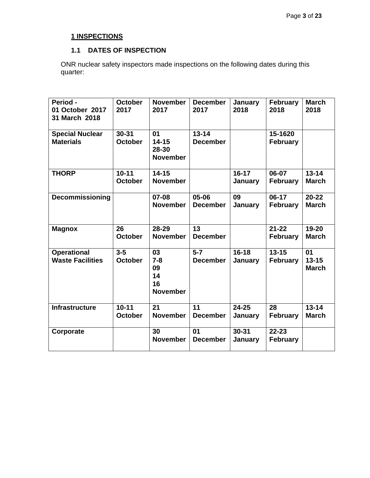# **1 INSPECTIONS**

# **1.1 DATES OF INSPECTION**

ONR nuclear safety inspectors made inspections on the following dates during this quarter:

| Period -<br>01 October 2017<br>31 March 2018  | <b>October</b><br>2017      | <b>November</b><br>2017                            | <b>December</b><br>2017      | January<br>2018             | <b>February</b><br>2018      | <b>March</b><br>2018            |
|-----------------------------------------------|-----------------------------|----------------------------------------------------|------------------------------|-----------------------------|------------------------------|---------------------------------|
| <b>Special Nuclear</b><br><b>Materials</b>    | $30 - 31$<br><b>October</b> | 01<br>$14 - 15$<br>28-30<br><b>November</b>        | $13 - 14$<br><b>December</b> |                             | 15-1620<br><b>February</b>   |                                 |
| <b>THORP</b>                                  | $10 - 11$<br><b>October</b> | $14 - 15$<br><b>November</b>                       |                              | $16 - 17$<br>January        | 06-07<br><b>February</b>     | $13 - 14$<br><b>March</b>       |
| Decommissioning                               |                             | 07-08<br><b>November</b>                           | 05-06<br><b>December</b>     | 09<br>January               | $06-17$<br><b>February</b>   | $20 - 22$<br><b>March</b>       |
| <b>Magnox</b>                                 | 26<br><b>October</b>        | 28-29<br><b>November</b>                           | 13<br><b>December</b>        |                             | $21 - 22$<br><b>February</b> | 19-20<br><b>March</b>           |
| <b>Operational</b><br><b>Waste Facilities</b> | $3-5$<br><b>October</b>     | 03<br>$7 - 8$<br>09<br>14<br>16<br><b>November</b> | $5 - 7$<br><b>December</b>   | $16 - 18$<br><b>January</b> | $13 - 15$<br><b>February</b> | 01<br>$13 - 15$<br><b>March</b> |
| <b>Infrastructure</b>                         | $10 - 11$<br><b>October</b> | 21<br><b>November</b>                              | 11<br><b>December</b>        | 24-25<br>January            | 28<br><b>February</b>        | $13 - 14$<br><b>March</b>       |
| Corporate                                     |                             | 30<br><b>November</b>                              | 01<br><b>December</b>        | $30 - 31$<br>January        | $22 - 23$<br><b>February</b> |                                 |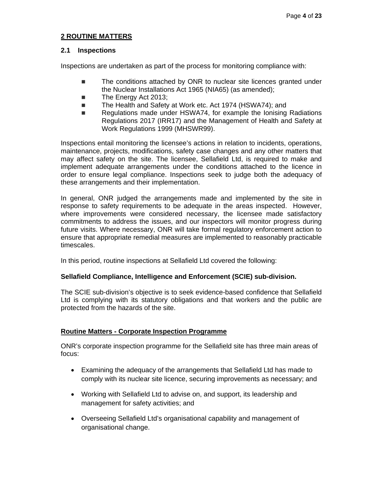# **2 ROUTINE MATTERS**

# **2.1 Inspections**

Inspections are undertaken as part of the process for monitoring compliance with:

- The conditions attached by ONR to nuclear site licences granted under the Nuclear Installations Act 1965 (NIA65) (as amended);
- The Energy Act 2013;
- The Health and Safety at Work etc. Act 1974 (HSWA74); and
- Regulations made under HSWA74, for example the Ionising Radiations Regulations 2017 (IRR17) and the Management of Health and Safety at Work Regulations 1999 (MHSWR99).

Inspections entail monitoring the licensee's actions in relation to incidents, operations, maintenance, projects, modifications, safety case changes and any other matters that may affect safety on the site. The licensee, Sellafield Ltd, is required to make and implement adequate arrangements under the conditions attached to the licence in order to ensure legal compliance. Inspections seek to judge both the adequacy of these arrangements and their implementation.

In general, ONR judged the arrangements made and implemented by the site in response to safety requirements to be adequate in the areas inspected. However, where improvements were considered necessary, the licensee made satisfactory commitments to address the issues, and our inspectors will monitor progress during future visits. Where necessary, ONR will take formal regulatory enforcement action to ensure that appropriate remedial measures are implemented to reasonably practicable timescales.

In this period, routine inspections at Sellafield Ltd covered the following:

# **Sellafield Compliance, Intelligence and Enforcement (SCIE) sub-division.**

The SCIE sub-division's objective is to seek evidence-based confidence that Sellafield Ltd is complying with its statutory obligations and that workers and the public are protected from the hazards of the site.

# **Routine Matters - Corporate Inspection Programme**

ONR's corporate inspection programme for the Sellafield site has three main areas of focus:

- Examining the adequacy of the arrangements that Sellafield Ltd has made to comply with its nuclear site licence, securing improvements as necessary; and
- Working with Sellafield Ltd to advise on, and support, its leadership and management for safety activities; and
- Overseeing Sellafield Ltd's organisational capability and management of organisational change.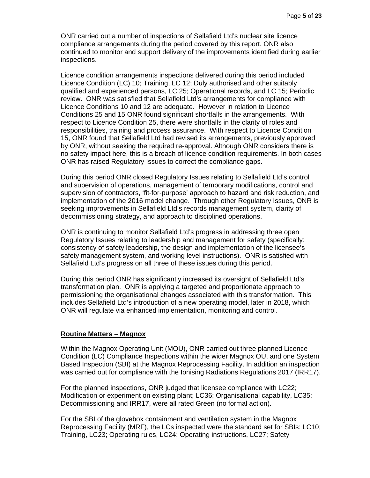ONR carried out a number of inspections of Sellafield Ltd's nuclear site licence compliance arrangements during the period covered by this report. ONR also continued to monitor and support delivery of the improvements identified during earlier inspections.

Licence condition arrangements inspections delivered during this period included Licence Condition (LC) 10; Training, LC 12; Duly authorised and other suitably qualified and experienced persons, LC 25; Operational records, and LC 15; Periodic review. ONR was satisfied that Sellafield Ltd's arrangements for compliance with Licence Conditions 10 and 12 are adequate. However in relation to Licence Conditions 25 and 15 ONR found significant shortfalls in the arrangements. With respect to Licence Condition 25, there were shortfalls in the clarity of roles and responsibilities, training and process assurance. With respect to Licence Condition 15, ONR found that Sellafield Ltd had revised its arrangements, previously approved by ONR, without seeking the required re-approval. Although ONR considers there is no safety impact here, this is a breach of licence condition requirements. In both cases ONR has raised Regulatory Issues to correct the compliance gaps.

During this period ONR closed Regulatory Issues relating to Sellafield Ltd's control and supervision of operations, management of temporary modifications, control and supervision of contractors, 'fit-for-purpose' approach to hazard and risk reduction, and implementation of the 2016 model change. Through other Regulatory Issues, ONR is seeking improvements in Sellafield Ltd's records management system, clarity of decommissioning strategy, and approach to disciplined operations.

ONR is continuing to monitor Sellafield Ltd's progress in addressing three open Regulatory Issues relating to leadership and management for safety (specifically: consistency of safety leadership, the design and implementation of the licensee's safety management system, and working level instructions). ONR is satisfied with Sellafield Ltd's progress on all three of these issues during this period.

During this period ONR has significantly increased its oversight of Sellafield Ltd's transformation plan. ONR is applying a targeted and proportionate approach to permissioning the organisational changes associated with this transformation. This includes Sellafield Ltd's introduction of a new operating model, later in 2018, which ONR will regulate via enhanced implementation, monitoring and control.

#### **Routine Matters – Magnox**

Within the Magnox Operating Unit (MOU), ONR carried out three planned Licence Condition (LC) Compliance Inspections within the wider Magnox OU, and one System Based Inspection (SBI) at the Magnox Reprocessing Facility. In addition an inspection was carried out for compliance with the Ionising Radiations Regulations 2017 (IRR17).

For the planned inspections, ONR judged that licensee compliance with LC22; Modification or experiment on existing plant; LC36; Organisational capability, LC35; Decommissioning and IRR17, were all rated Green (no formal action).

For the SBI of the glovebox containment and ventilation system in the Magnox Reprocessing Facility (MRF), the LCs inspected were the standard set for SBIs: LC10; Training, LC23; Operating rules, LC24; Operating instructions, LC27; Safety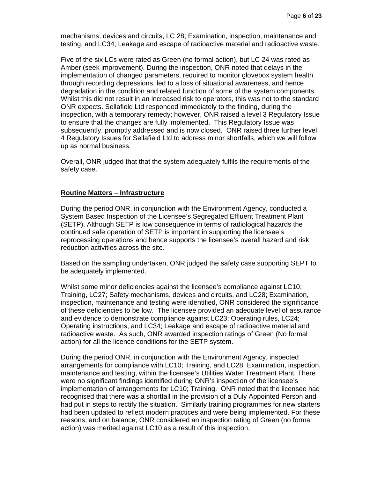mechanisms, devices and circuits, LC 28; Examination, inspection, maintenance and testing, and LC34; Leakage and escape of radioactive material and radioactive waste.

Five of the six LCs were rated as Green (no formal action), but LC 24 was rated as Amber (seek improvement). During the inspection, ONR noted that delays in the implementation of changed parameters, required to monitor glovebox system health through recording depressions, led to a loss of situational awareness, and hence degradation in the condition and related function of some of the system components. Whilst this did not result in an increased risk to operators, this was not to the standard ONR expects. Sellafield Ltd responded immediately to the finding, during the inspection, with a temporary remedy; however, ONR raised a level 3 Regulatory Issue to ensure that the changes are fully implemented. This Regulatory Issue was subsequently, promptly addressed and is now closed. ONR raised three further level 4 Regulatory Issues for Sellafield Ltd to address minor shortfalls, which we will follow up as normal business.

Overall, ONR judged that that the system adequately fulfils the requirements of the safety case.

#### **Routine Matters – Infrastructure**

During the period ONR, in conjunction with the Environment Agency, conducted a System Based Inspection of the Licensee's Segregated Effluent Treatment Plant (SETP). Although SETP is low consequence in terms of radiological hazards the continued safe operation of SETP is important in supporting the licensee's reprocessing operations and hence supports the licensee's overall hazard and risk reduction activities across the site.

Based on the sampling undertaken, ONR judged the safety case supporting SEPT to be adequately implemented.

Whilst some minor deficiencies against the licensee's compliance against LC10; Training, LC27; Safety mechanisms, devices and circuits, and LC28; Examination, inspection, maintenance and testing were identified, ONR considered the significance of these deficiencies to be low. The licensee provided an adequate level of assurance and evidence to demonstrate compliance against LC23; Operating rules, LC24; Operating instructions, and LC34; Leakage and escape of radioactive material and radioactive waste. As such, ONR awarded inspection ratings of Green (No formal action) for all the licence conditions for the SETP system.

During the period ONR, in conjunction with the Environment Agency, inspected arrangements for compliance with LC10; Training, and LC28; Examination, inspection, maintenance and testing, within the licensee's Utilities Water Treatment Plant. There were no significant findings identified during ONR's inspection of the licensee's implementation of arrangements for LC10; Training. ONR noted that the licensee had recognised that there was a shortfall in the provision of a Duly Appointed Person and had put in steps to rectify the situation. Similarly training programmes for new starters had been updated to reflect modern practices and were being implemented. For these reasons, and on balance, ONR considered an inspection rating of Green (no formal action) was merited against LC10 as a result of this inspection.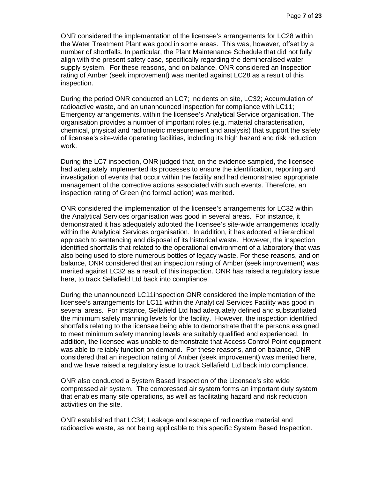ONR considered the implementation of the licensee's arrangements for LC28 within the Water Treatment Plant was good in some areas. This was, however, offset by a number of shortfalls. In particular, the Plant Maintenance Schedule that did not fully align with the present safety case, specifically regarding the demineralised water supply system. For these reasons, and on balance, ONR considered an Inspection rating of Amber (seek improvement) was merited against LC28 as a result of this inspection.

During the period ONR conducted an LC7; Incidents on site, LC32; Accumulation of radioactive waste, and an unannounced inspection for compliance with LC11; Emergency arrangements, within the licensee's Analytical Service organisation. The organisation provides a number of important roles (e.g. material characterisation, chemical, physical and radiometric measurement and analysis) that support the safety of licensee's site-wide operating facilities, including its high hazard and risk reduction work.

During the LC7 inspection, ONR judged that, on the evidence sampled, the licensee had adequately implemented its processes to ensure the identification, reporting and investigation of events that occur within the facility and had demonstrated appropriate management of the corrective actions associated with such events. Therefore, an inspection rating of Green (no formal action) was merited.

ONR considered the implementation of the licensee's arrangements for LC32 within the Analytical Services organisation was good in several areas. For instance, it demonstrated it has adequately adopted the licensee's site-wide arrangements locally within the Analytical Services organisation. In addition, it has adopted a hierarchical approach to sentencing and disposal of its historical waste. However, the inspection identified shortfalls that related to the operational environment of a laboratory that was also being used to store numerous bottles of legacy waste. For these reasons, and on balance, ONR considered that an inspection rating of Amber (seek improvement) was merited against LC32 as a result of this inspection. ONR has raised a regulatory issue here, to track Sellafield Ltd back into compliance.

During the unannounced LC11inspection ONR considered the implementation of the licensee's arrangements for LC11 within the Analytical Services Facility was good in several areas. For instance, Sellafield Ltd had adequately defined and substantiated the minimum safety manning levels for the facility. However, the inspection identified shortfalls relating to the licensee being able to demonstrate that the persons assigned to meet minimum safety manning levels are suitably qualified and experienced. In addition, the licensee was unable to demonstrate that Access Control Point equipment was able to reliably function on demand. For these reasons, and on balance, ONR considered that an inspection rating of Amber (seek improvement) was merited here, and we have raised a regulatory issue to track Sellafield Ltd back into compliance.

ONR also conducted a System Based Inspection of the Licensee's site wide compressed air system. The compressed air system forms an important duty system that enables many site operations, as well as facilitating hazard and risk reduction activities on the site.

ONR established that LC34; Leakage and escape of radioactive material and radioactive waste, as not being applicable to this specific System Based Inspection.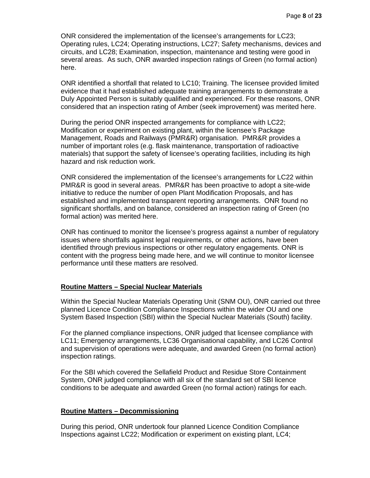ONR considered the implementation of the licensee's arrangements for LC23; Operating rules, LC24; Operating instructions, LC27; Safety mechanisms, devices and circuits, and LC28; Examination, inspection, maintenance and testing were good in several areas. As such, ONR awarded inspection ratings of Green (no formal action) here.

ONR identified a shortfall that related to LC10; Training. The licensee provided limited evidence that it had established adequate training arrangements to demonstrate a Duly Appointed Person is suitably qualified and experienced. For these reasons, ONR considered that an inspection rating of Amber (seek improvement) was merited here.

During the period ONR inspected arrangements for compliance with LC22; Modification or experiment on existing plant, within the licensee's Package Management, Roads and Railways (PMR&R) organisation. PMR&R provides a number of important roles (e.g. flask maintenance, transportation of radioactive materials) that support the safety of licensee's operating facilities, including its high hazard and risk reduction work.

ONR considered the implementation of the licensee's arrangements for LC22 within PMR&R is good in several areas. PMR&R has been proactive to adopt a site-wide initiative to reduce the number of open Plant Modification Proposals, and has established and implemented transparent reporting arrangements. ONR found no significant shortfalls, and on balance, considered an inspection rating of Green (no formal action) was merited here.

ONR has continued to monitor the licensee's progress against a number of regulatory issues where shortfalls against legal requirements, or other actions, have been identified through previous inspections or other regulatory engagements. ONR is content with the progress being made here, and we will continue to monitor licensee performance until these matters are resolved.

#### **Routine Matters – Special Nuclear Materials**

Within the Special Nuclear Materials Operating Unit (SNM OU), ONR carried out three planned Licence Condition Compliance Inspections within the wider OU and one System Based Inspection (SBI) within the Special Nuclear Materials (South) facility.

For the planned compliance inspections, ONR judged that licensee compliance with LC11; Emergency arrangements, LC36 Organisational capability, and LC26 Control and supervision of operations were adequate, and awarded Green (no formal action) inspection ratings.

For the SBI which covered the Sellafield Product and Residue Store Containment System, ONR judged compliance with all six of the standard set of SBI licence conditions to be adequate and awarded Green (no formal action) ratings for each.

#### **Routine Matters – Decommissioning**

During this period, ONR undertook four planned Licence Condition Compliance Inspections against LC22; Modification or experiment on existing plant, LC4;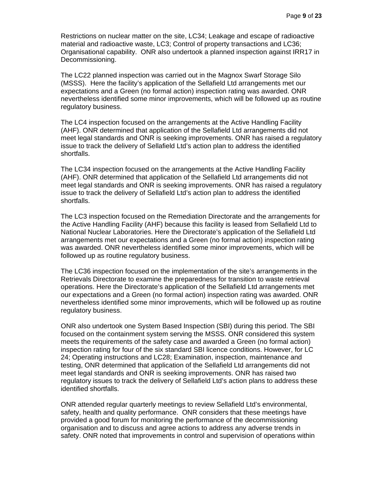Restrictions on nuclear matter on the site, LC34; Leakage and escape of radioactive material and radioactive waste, LC3; Control of property transactions and LC36; Organisational capability. ONR also undertook a planned inspection against IRR17 in Decommissioning.

The LC22 planned inspection was carried out in the Magnox Swarf Storage Silo (MSSS). Here the facility's application of the Sellafield Ltd arrangements met our expectations and a Green (no formal action) inspection rating was awarded. ONR nevertheless identified some minor improvements, which will be followed up as routine regulatory business.

The LC4 inspection focused on the arrangements at the Active Handling Facility (AHF). ONR determined that application of the Sellafield Ltd arrangements did not meet legal standards and ONR is seeking improvements. ONR has raised a regulatory issue to track the delivery of Sellafield Ltd's action plan to address the identified shortfalls.

The LC34 inspection focused on the arrangements at the Active Handling Facility (AHF). ONR determined that application of the Sellafield Ltd arrangements did not meet legal standards and ONR is seeking improvements. ONR has raised a regulatory issue to track the delivery of Sellafield Ltd's action plan to address the identified shortfalls.

The LC3 inspection focused on the Remediation Directorate and the arrangements for the Active Handling Facility (AHF) because this facility is leased from Sellafield Ltd to National Nuclear Laboratories. Here the Directorate's application of the Sellafield Ltd arrangements met our expectations and a Green (no formal action) inspection rating was awarded. ONR nevertheless identified some minor improvements, which will be followed up as routine regulatory business.

The LC36 inspection focused on the implementation of the site's arrangements in the Retrievals Directorate to examine the preparedness for transition to waste retrieval operations. Here the Directorate's application of the Sellafield Ltd arrangements met our expectations and a Green (no formal action) inspection rating was awarded. ONR nevertheless identified some minor improvements, which will be followed up as routine regulatory business.

ONR also undertook one System Based Inspection (SBI) during this period. The SBI focused on the containment system serving the MSSS. ONR considered this system meets the requirements of the safety case and awarded a Green (no formal action) inspection rating for four of the six standard SBI licence conditions. However, for LC 24; Operating instructions and LC28; Examination, inspection, maintenance and testing, ONR determined that application of the Sellafield Ltd arrangements did not meet legal standards and ONR is seeking improvements. ONR has raised two regulatory issues to track the delivery of Sellafield Ltd's action plans to address these identified shortfalls.

ONR attended regular quarterly meetings to review Sellafield Ltd's environmental, safety, health and quality performance. ONR considers that these meetings have provided a good forum for monitoring the performance of the decommissioning organisation and to discuss and agree actions to address any adverse trends in safety. ONR noted that improvements in control and supervision of operations within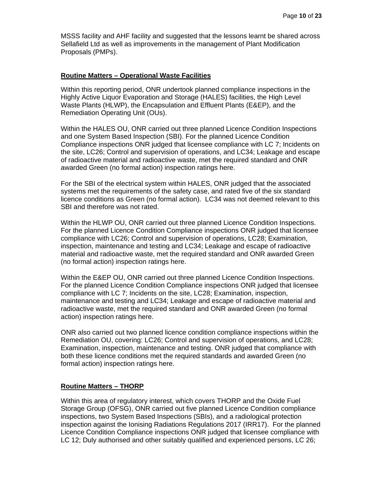MSSS facility and AHF facility and suggested that the lessons learnt be shared across Sellafield Ltd as well as improvements in the management of Plant Modification Proposals (PMPs).

#### **Routine Matters – Operational Waste Facilities**

Within this reporting period, ONR undertook planned compliance inspections in the Highly Active Liquor Evaporation and Storage (HALES) facilities, the High Level Waste Plants (HLWP), the Encapsulation and Effluent Plants (E&EP), and the Remediation Operating Unit (OUs).

Within the HALES OU, ONR carried out three planned Licence Condition Inspections and one System Based Inspection (SBI). For the planned Licence Condition Compliance inspections ONR judged that licensee compliance with LC 7; Incidents on the site, LC26; Control and supervision of operations, and LC34; Leakage and escape of radioactive material and radioactive waste, met the required standard and ONR awarded Green (no formal action) inspection ratings here.

For the SBI of the electrical system within HALES, ONR judged that the associated systems met the requirements of the safety case, and rated five of the six standard licence conditions as Green (no formal action). LC34 was not deemed relevant to this SBI and therefore was not rated.

Within the HLWP OU, ONR carried out three planned Licence Condition Inspections. For the planned Licence Condition Compliance inspections ONR judged that licensee compliance with LC26; Control and supervision of operations, LC28; Examination, inspection, maintenance and testing and LC34; Leakage and escape of radioactive material and radioactive waste, met the required standard and ONR awarded Green (no formal action) inspection ratings here.

Within the E&EP OU, ONR carried out three planned Licence Condition Inspections. For the planned Licence Condition Compliance inspections ONR judged that licensee compliance with LC 7; Incidents on the site, LC28; Examination, inspection, maintenance and testing and LC34; Leakage and escape of radioactive material and radioactive waste, met the required standard and ONR awarded Green (no formal action) inspection ratings here.

ONR also carried out two planned licence condition compliance inspections within the Remediation OU, covering: LC26; Control and supervision of operations, and LC28; Examination, inspection, maintenance and testing. ONR judged that compliance with both these licence conditions met the required standards and awarded Green (no formal action) inspection ratings here.

#### **Routine Matters – THORP**

Within this area of regulatory interest, which covers THORP and the Oxide Fuel Storage Group (OFSG), ONR carried out five planned Licence Condition compliance inspections, two System Based Inspections (SBIs), and a radiological protection inspection against the Ionising Radiations Regulations 2017 (IRR17). For the planned Licence Condition Compliance inspections ONR judged that licensee compliance with LC 12; Duly authorised and other suitably qualified and experienced persons, LC 26;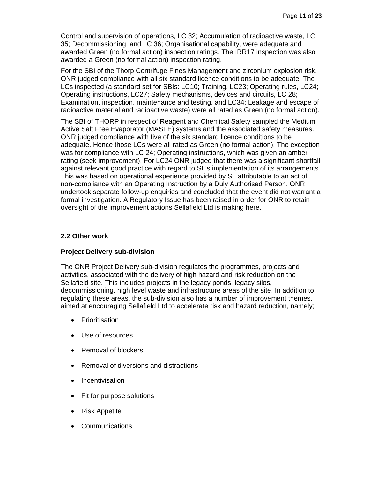Control and supervision of operations, LC 32; Accumulation of radioactive waste, LC 35; Decommissioning, and LC 36; Organisational capability, were adequate and awarded Green (no formal action) inspection ratings. The IRR17 inspection was also awarded a Green (no formal action) inspection rating.

For the SBI of the Thorp Centrifuge Fines Management and zirconium explosion risk, ONR judged compliance with all six standard licence conditions to be adequate. The LCs inspected (a standard set for SBIs: LC10; Training, LC23; Operating rules, LC24; Operating instructions, LC27; Safety mechanisms, devices and circuits, LC 28; Examination, inspection, maintenance and testing, and LC34; Leakage and escape of radioactive material and radioactive waste) were all rated as Green (no formal action).

The SBI of THORP in respect of Reagent and Chemical Safety sampled the Medium Active Salt Free Evaporator (MASFE) systems and the associated safety measures. ONR judged compliance with five of the six standard licence conditions to be adequate. Hence those LCs were all rated as Green (no formal action). The exception was for compliance with LC 24; Operating instructions, which was given an amber rating (seek improvement). For LC24 ONR judged that there was a significant shortfall against relevant good practice with regard to SL's implementation of its arrangements. This was based on operational experience provided by SL attributable to an act of non-compliance with an Operating Instruction by a Duly Authorised Person. ONR undertook separate follow-up enquiries and concluded that the event did not warrant a formal investigation. A Regulatory Issue has been raised in order for ONR to retain oversight of the improvement actions Sellafield Ltd is making here.

# **2.2 Other work**

# **Project Delivery sub-division**

The ONR Project Delivery sub-division regulates the programmes, projects and activities, associated with the delivery of high hazard and risk reduction on the Sellafield site. This includes projects in the legacy ponds, legacy silos, decommissioning, high level waste and infrastructure areas of the site. In addition to regulating these areas, the sub-division also has a number of improvement themes, aimed at encouraging Sellafield Ltd to accelerate risk and hazard reduction, namely;

- **•** Prioritisation
- Use of resources
- Removal of blockers
- Removal of diversions and distractions
- **Incentivisation**
- Fit for purpose solutions
- Risk Appetite
- Communications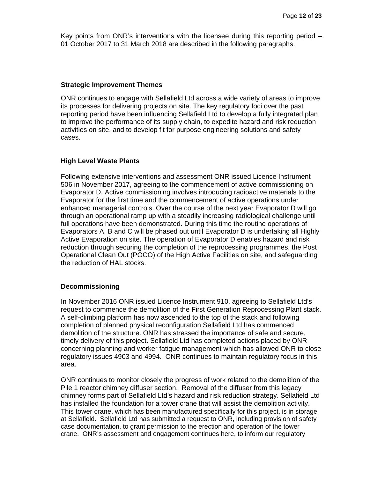Key points from ONR's interventions with the licensee during this reporting period – 01 October 2017 to 31 March 2018 are described in the following paragraphs.

#### **Strategic Improvement Themes**

ONR continues to engage with Sellafield Ltd across a wide variety of areas to improve its processes for delivering projects on site. The key regulatory foci over the past reporting period have been influencing Sellafield Ltd to develop a fully integrated plan to improve the performance of its supply chain, to expedite hazard and risk reduction activities on site, and to develop fit for purpose engineering solutions and safety cases.

#### **High Level Waste Plants**

Following extensive interventions and assessment ONR issued Licence Instrument 506 in November 2017, agreeing to the commencement of active commissioning on Evaporator D. Active commissioning involves introducing radioactive materials to the Evaporator for the first time and the commencement of active operations under enhanced managerial controls. Over the course of the next year Evaporator D will go through an operational ramp up with a steadily increasing radiological challenge until full operations have been demonstrated. During this time the routine operations of Evaporators A, B and C will be phased out until Evaporator D is undertaking all Highly Active Evaporation on site. The operation of Evaporator D enables hazard and risk reduction through securing the completion of the reprocessing programmes, the Post Operational Clean Out (POCO) of the High Active Facilities on site, and safeguarding the reduction of HAL stocks.

#### **Decommissioning**

In November 2016 ONR issued Licence Instrument 910, agreeing to Sellafield Ltd's request to commence the demolition of the First Generation Reprocessing Plant stack. A self-climbing platform has now ascended to the top of the stack and following completion of planned physical reconfiguration Sellafield Ltd has commenced demolition of the structure. ONR has stressed the importance of safe and secure, timely delivery of this project. Sellafield Ltd has completed actions placed by ONR concerning planning and worker fatigue management which has allowed ONR to close regulatory issues 4903 and 4994. ONR continues to maintain regulatory focus in this area.

ONR continues to monitor closely the progress of work related to the demolition of the Pile 1 reactor chimney diffuser section. Removal of the diffuser from this legacy chimney forms part of Sellafield Ltd's hazard and risk reduction strategy. Sellafield Ltd has installed the foundation for a tower crane that will assist the demolition activity. This tower crane, which has been manufactured specifically for this project, is in storage at Sellafield. Sellafield Ltd has submitted a request to ONR, including provision of safety case documentation, to grant permission to the erection and operation of the tower crane. ONR's assessment and engagement continues here, to inform our regulatory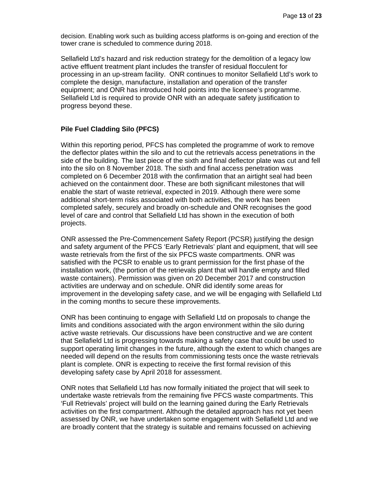decision. Enabling work such as building access platforms is on-going and erection of the tower crane is scheduled to commence during 2018.

Sellafield Ltd's hazard and risk reduction strategy for the demolition of a legacy low active effluent treatment plant includes the transfer of residual flocculent for processing in an up-stream facility. ONR continues to monitor Sellafield Ltd's work to complete the design, manufacture, installation and operation of the transfer equipment; and ONR has introduced hold points into the licensee's programme. Sellafield Ltd is required to provide ONR with an adequate safety justification to progress beyond these.

#### **Pile Fuel Cladding Silo (PFCS)**

Within this reporting period, PFCS has completed the programme of work to remove the deflector plates within the silo and to cut the retrievals access penetrations in the side of the building. The last piece of the sixth and final deflector plate was cut and fell into the silo on 8 November 2018. The sixth and final access penetration was completed on 6 December 2018 with the confirmation that an airtight seal had been achieved on the containment door. These are both significant milestones that will enable the start of waste retrieval, expected in 2019. Although there were some additional short-term risks associated with both activities, the work has been completed safely, securely and broadly on-schedule and ONR recognises the good level of care and control that Sellafield Ltd has shown in the execution of both projects.

ONR assessed the Pre-Commencement Safety Report (PCSR) justifying the design and safety argument of the PFCS 'Early Retrievals' plant and equipment, that will see waste retrievals from the first of the six PFCS waste compartments. ONR was satisfied with the PCSR to enable us to grant permission for the first phase of the installation work, (the portion of the retrievals plant that will handle empty and filled waste containers). Permission was given on 20 December 2017 and construction activities are underway and on schedule. ONR did identify some areas for improvement in the developing safety case, and we will be engaging with Sellafield Ltd in the coming months to secure these improvements.

ONR has been continuing to engage with Sellafield Ltd on proposals to change the limits and conditions associated with the argon environment within the silo during active waste retrievals. Our discussions have been constructive and we are content that Sellafield Ltd is progressing towards making a safety case that could be used to support operating limit changes in the future, although the extent to which changes are needed will depend on the results from commissioning tests once the waste retrievals plant is complete. ONR is expecting to receive the first formal revision of this developing safety case by April 2018 for assessment.

ONR notes that Sellafield Ltd has now formally initiated the project that will seek to undertake waste retrievals from the remaining five PFCS waste compartments. This 'Full Retrievals' project will build on the learning gained during the Early Retrievals activities on the first compartment. Although the detailed approach has not yet been assessed by ONR, we have undertaken some engagement with Sellafield Ltd and we are broadly content that the strategy is suitable and remains focussed on achieving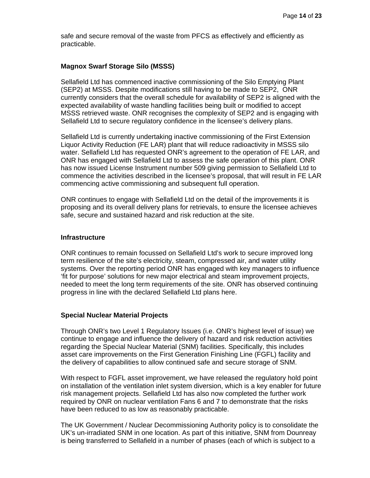safe and secure removal of the waste from PFCS as effectively and efficiently as practicable.

## **Magnox Swarf Storage Silo (MSSS)**

Sellafield Ltd has commenced inactive commissioning of the Silo Emptying Plant (SEP2) at MSSS. Despite modifications still having to be made to SEP2, ONR currently considers that the overall schedule for availability of SEP2 is aligned with the expected availability of waste handling facilities being built or modified to accept MSSS retrieved waste. ONR recognises the complexity of SEP2 and is engaging with Sellafield Ltd to secure regulatory confidence in the licensee's delivery plans.

Sellafield Ltd is currently undertaking inactive commissioning of the First Extension Liquor Activity Reduction (FE LAR) plant that will reduce radioactivity in MSSS silo water. Sellafield Ltd has requested ONR's agreement to the operation of FE LAR, and ONR has engaged with Sellafield Ltd to assess the safe operation of this plant. ONR has now issued License Instrument number 509 giving permission to Sellafield Ltd to commence the activities described in the licensee's proposal, that will result in FE LAR commencing active commissioning and subsequent full operation.

ONR continues to engage with Sellafield Ltd on the detail of the improvements it is proposing and its overall delivery plans for retrievals, to ensure the licensee achieves safe, secure and sustained hazard and risk reduction at the site.

#### **Infrastructure**

ONR continues to remain focussed on Sellafield Ltd's work to secure improved long term resilience of the site's electricity, steam, compressed air, and water utility systems. Over the reporting period ONR has engaged with key managers to influence 'fit for purpose' solutions for new major electrical and steam improvement projects, needed to meet the long term requirements of the site. ONR has observed continuing progress in line with the declared Sellafield Ltd plans here.

#### **Special Nuclear Material Projects**

Through ONR's two Level 1 Regulatory Issues (i.e. ONR's highest level of issue) we continue to engage and influence the delivery of hazard and risk reduction activities regarding the Special Nuclear Material (SNM) facilities. Specifically, this includes asset care improvements on the First Generation Finishing Line (FGFL) facility and the delivery of capabilities to allow continued safe and secure storage of SNM.

With respect to FGFL asset improvement, we have released the regulatory hold point on installation of the ventilation inlet system diversion, which is a key enabler for future risk management projects. Sellafield Ltd has also now completed the further work required by ONR on nuclear ventilation Fans 6 and 7 to demonstrate that the risks have been reduced to as low as reasonably practicable.

The UK Government / Nuclear Decommissioning Authority policy is to consolidate the UK's un-irradiated SNM in one location. As part of this initiative, SNM from Dounreay is being transferred to Sellafield in a number of phases (each of which is subject to a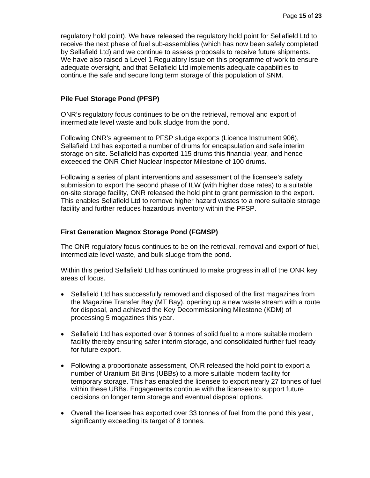regulatory hold point). We have released the regulatory hold point for Sellafield Ltd to receive the next phase of fuel sub-assemblies (which has now been safely completed by Sellafield Ltd) and we continue to assess proposals to receive future shipments. We have also raised a Level 1 Regulatory Issue on this programme of work to ensure adequate oversight, and that Sellafield Ltd implements adequate capabilities to continue the safe and secure long term storage of this population of SNM.

#### **Pile Fuel Storage Pond (PFSP)**

ONR's regulatory focus continues to be on the retrieval, removal and export of intermediate level waste and bulk sludge from the pond.

Following ONR's agreement to PFSP sludge exports (Licence Instrument 906), Sellafield Ltd has exported a number of drums for encapsulation and safe interim storage on site. Sellafield has exported 115 drums this financial year, and hence exceeded the ONR Chief Nuclear Inspector Milestone of 100 drums.

Following a series of plant interventions and assessment of the licensee's safety submission to export the second phase of ILW (with higher dose rates) to a suitable on-site storage facility, ONR released the hold pint to grant permission to the export. This enables Sellafield Ltd to remove higher hazard wastes to a more suitable storage facility and further reduces hazardous inventory within the PFSP.

## **First Generation Magnox Storage Pond (FGMSP)**

The ONR regulatory focus continues to be on the retrieval, removal and export of fuel, intermediate level waste, and bulk sludge from the pond.

Within this period Sellafield Ltd has continued to make progress in all of the ONR key areas of focus.

- Sellafield Ltd has successfully removed and disposed of the first magazines from the Magazine Transfer Bay (MT Bay), opening up a new waste stream with a route for disposal, and achieved the Key Decommissioning Milestone (KDM) of processing 5 magazines this year.
- Sellafield Ltd has exported over 6 tonnes of solid fuel to a more suitable modern facility thereby ensuring safer interim storage, and consolidated further fuel ready for future export.
- Following a proportionate assessment, ONR released the hold point to export a number of Uranium Bit Bins (UBBs) to a more suitable modern facility for temporary storage. This has enabled the licensee to export nearly 27 tonnes of fuel within these UBBs. Engagements continue with the licensee to support future decisions on longer term storage and eventual disposal options.
- Overall the licensee has exported over 33 tonnes of fuel from the pond this year, significantly exceeding its target of 8 tonnes.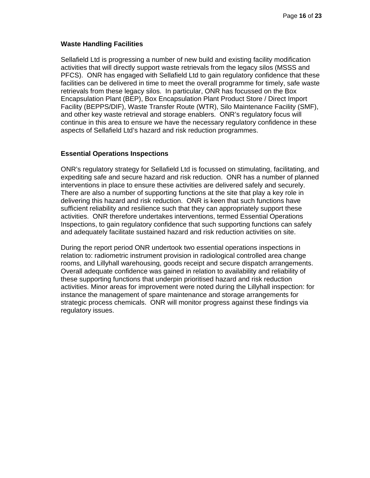#### **Waste Handling Facilities**

Sellafield Ltd is progressing a number of new build and existing facility modification activities that will directly support waste retrievals from the legacy silos (MSSS and PFCS). ONR has engaged with Sellafield Ltd to gain regulatory confidence that these facilities can be delivered in time to meet the overall programme for timely, safe waste retrievals from these legacy silos. In particular, ONR has focussed on the Box Encapsulation Plant (BEP), Box Encapsulation Plant Product Store / Direct Import Facility (BEPPS/DIF), Waste Transfer Route (WTR), Silo Maintenance Facility (SMF), and other key waste retrieval and storage enablers. ONR's regulatory focus will continue in this area to ensure we have the necessary regulatory confidence in these aspects of Sellafield Ltd's hazard and risk reduction programmes.

## **Essential Operations Inspections**

ONR's regulatory strategy for Sellafield Ltd is focussed on stimulating, facilitating, and expediting safe and secure hazard and risk reduction. ONR has a number of planned interventions in place to ensure these activities are delivered safely and securely. There are also a number of supporting functions at the site that play a key role in delivering this hazard and risk reduction. ONR is keen that such functions have sufficient reliability and resilience such that they can appropriately support these activities. ONR therefore undertakes interventions, termed Essential Operations Inspections, to gain regulatory confidence that such supporting functions can safely and adequately facilitate sustained hazard and risk reduction activities on site.

During the report period ONR undertook two essential operations inspections in relation to: radiometric instrument provision in radiological controlled area change rooms, and Lillyhall warehousing, goods receipt and secure dispatch arrangements. Overall adequate confidence was gained in relation to availability and reliability of these supporting functions that underpin prioritised hazard and risk reduction activities. Minor areas for improvement were noted during the Lillyhall inspection: for instance the management of spare maintenance and storage arrangements for strategic process chemicals. ONR will monitor progress against these findings via regulatory issues.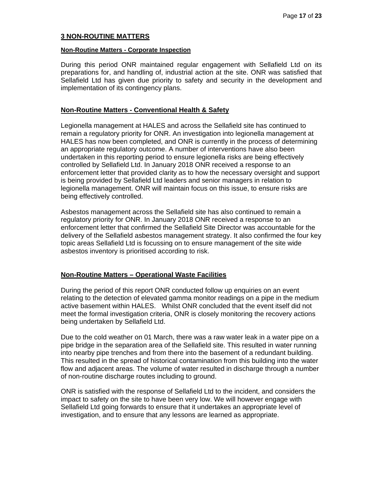# **3 NON-ROUTINE MATTERS**

#### **Non-Routine Matters - Corporate Inspection**

During this period ONR maintained regular engagement with Sellafield Ltd on its preparations for, and handling of, industrial action at the site. ONR was satisfied that Sellafield Ltd has given due priority to safety and security in the development and implementation of its contingency plans.

## **Non-Routine Matters - Conventional Health & Safety**

Legionella management at HALES and across the Sellafield site has continued to remain a regulatory priority for ONR. An investigation into legionella management at HALES has now been completed, and ONR is currently in the process of determining an appropriate regulatory outcome. A number of interventions have also been undertaken in this reporting period to ensure legionella risks are being effectively controlled by Sellafield Ltd. In January 2018 ONR received a response to an enforcement letter that provided clarity as to how the necessary oversight and support is being provided by Sellafield Ltd leaders and senior managers in relation to legionella management. ONR will maintain focus on this issue, to ensure risks are being effectively controlled.

Asbestos management across the Sellafield site has also continued to remain a regulatory priority for ONR. In January 2018 ONR received a response to an enforcement letter that confirmed the Sellafield Site Director was accountable for the delivery of the Sellafield asbestos management strategy. It also confirmed the four key topic areas Sellafield Ltd is focussing on to ensure management of the site wide asbestos inventory is prioritised according to risk.

#### **Non-Routine Matters – Operational Waste Facilities**

During the period of this report ONR conducted follow up enquiries on an event relating to the detection of elevated gamma monitor readings on a pipe in the medium active basement within HALES. Whilst ONR concluded that the event itself did not meet the formal investigation criteria, ONR is closely monitoring the recovery actions being undertaken by Sellafield Ltd.

Due to the cold weather on 01 March, there was a raw water leak in a water pipe on a pipe bridge in the separation area of the Sellafield site. This resulted in water running into nearby pipe trenches and from there into the basement of a redundant building. This resulted in the spread of historical contamination from this building into the water flow and adjacent areas. The volume of water resulted in discharge through a number of non-routine discharge routes including to ground.

ONR is satisfied with the response of Sellafield Ltd to the incident, and considers the impact to safety on the site to have been very low. We will however engage with Sellafield Ltd going forwards to ensure that it undertakes an appropriate level of investigation, and to ensure that any lessons are learned as appropriate.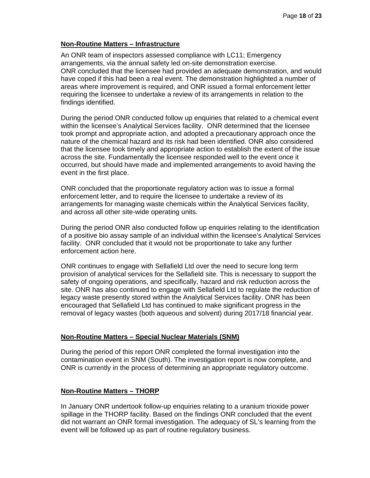# **Non-Routine Matters – Infrastructure**

An ONR team of inspectors assessed compliance with LC11; Emergency arrangements, via the annual safety led on-site demonstration exercise. ONR concluded that the licensee had provided an adequate demonstration, and would have coped if this had been a real event. The demonstration highlighted a number of areas where improvement is required, and ONR issued a formal enforcement letter requiring the licensee to undertake a review of its arrangements in relation to the findings identified.

During the period ONR conducted follow up enquiries that related to a chemical event within the licensee's Analytical Services facility. ONR determined that the licensee took prompt and appropriate action, and adopted a precautionary approach once the nature of the chemical hazard and its risk had been identified. ONR also considered that the licensee took timely and appropriate action to establish the extent of the issue across the site. Fundamentally the licensee responded well to the event once it occurred, but should have made and implemented arrangements to avoid having the event in the first place.

ONR concluded that the proportionate regulatory action was to issue a formal enforcement letter, and to require the licensee to undertake a review of its arrangements for managing waste chemicals within the Analytical Services facility, and across all other site-wide operating units.

During the period ONR also conducted follow up enquiries relating to the identification of a positive bio assay sample of an individual within the licensee's Analytical Services facility. ONR concluded that it would not be proportionate to take any further enforcement action here.

ONR continues to engage with Sellafield Ltd over the need to secure long term provision of analytical services for the Sellafield site. This is necessary to support the safety of ongoing operations, and specifically, hazard and risk reduction across the site. ONR has also continued to engage with Sellafield Ltd to regulate the reduction of legacy waste presently stored within the Analytical Services facility. ONR has been encouraged that Sellafield Ltd has continued to make significant progress in the removal of legacy wastes (both aqueous and solvent) during 2017/18 financial year.

# **Non-Routine Matters – Special Nuclear Materials (SNM)**

During the period of this report ONR completed the formal investigation into the contamination event in SNM (South). The investigation report is now complete, and ONR is currently in the process of determining an appropriate regulatory outcome.

# **Non-Routine Matters – THORP**

In January ONR undertook follow-up enquiries relating to a uranium trioxide power spillage in the THORP facility. Based on the findings ONR concluded that the event did not warrant an ONR formal investigation. The adequacy of SL's learning from the event will be followed up as part of routine regulatory business.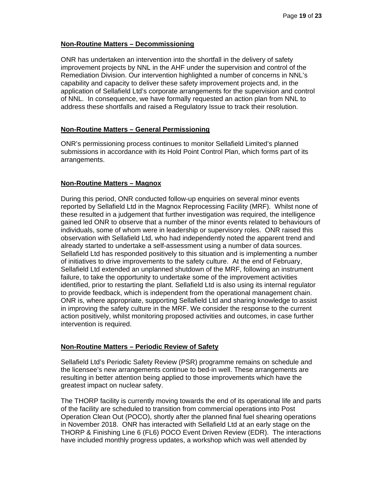# **Non-Routine Matters – Decommissioning**

ONR has undertaken an intervention into the shortfall in the delivery of safety improvement projects by NNL in the AHF under the supervision and control of the Remediation Division. Our intervention highlighted a number of concerns in NNL's capability and capacity to deliver these safety improvement projects and, in the application of Sellafield Ltd's corporate arrangements for the supervision and control of NNL. In consequence, we have formally requested an action plan from NNL to address these shortfalls and raised a Regulatory Issue to track their resolution.

# **Non-Routine Matters – General Permissioning**

ONR's permissioning process continues to monitor Sellafield Limited's planned submissions in accordance with its Hold Point Control Plan, which forms part of its arrangements.

# **Non-Routine Matters – Magnox**

During this period, ONR conducted follow-up enquiries on several minor events reported by Sellafield Ltd in the Magnox Reprocessing Facility (MRF). Whilst none of these resulted in a judgement that further investigation was required, the intelligence gained led ONR to observe that a number of the minor events related to behaviours of individuals, some of whom were in leadership or supervisory roles. ONR raised this observation with Sellafield Ltd, who had independently noted the apparent trend and already started to undertake a self-assessment using a number of data sources. Sellafield Ltd has responded positively to this situation and is implementing a number of initiatives to drive improvements to the safety culture. At the end of February, Sellafield Ltd extended an unplanned shutdown of the MRF, following an instrument failure, to take the opportunity to undertake some of the improvement activities identified, prior to restarting the plant. Sellafield Ltd is also using its internal regulator to provide feedback, which is independent from the operational management chain. ONR is, where appropriate, supporting Sellafield Ltd and sharing knowledge to assist in improving the safety culture in the MRF. We consider the response to the current action positively, whilst monitoring proposed activities and outcomes, in case further intervention is required.

# **Non-Routine Matters – Periodic Review of Safety**

Sellafield Ltd's Periodic Safety Review (PSR) programme remains on schedule and the licensee's new arrangements continue to bed-in well. These arrangements are resulting in better attention being applied to those improvements which have the greatest impact on nuclear safety.

The THORP facility is currently moving towards the end of its operational life and parts of the facility are scheduled to transition from commercial operations into Post Operation Clean Out (POCO), shortly after the planned final fuel shearing operations in November 2018. ONR has interacted with Sellafield Ltd at an early stage on the THORP & Finishing Line 6 (FL6) POCO Event Driven Review (EDR). The interactions have included monthly progress updates, a workshop which was well attended by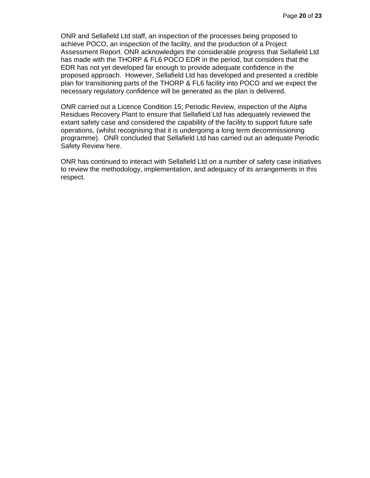ONR and Sellafield Ltd staff, an inspection of the processes being proposed to achieve POCO, an inspection of the facility, and the production of a Project Assessment Report. ONR acknowledges the considerable progress that Sellafield Ltd has made with the THORP & FL6 POCO EDR in the period, but considers that the EDR has not yet developed far enough to provide adequate confidence in the proposed approach. However, Sellafield Ltd has developed and presented a credible plan for transitioning parts of the THORP & FL6 facility into POCO and we expect the necessary regulatory confidence will be generated as the plan is delivered.

ONR carried out a Licence Condition 15; Periodic Review, inspection of the Alpha Residues Recovery Plant to ensure that Sellafield Ltd has adequately reviewed the extant safety case and considered the capability of the facility to support future safe operations, (whilst recognising that it is undergoing a long term decommissioning programme). ONR concluded that Sellafield Ltd has carried out an adequate Periodic Safety Review here.

ONR has continued to interact with Sellafield Ltd on a number of safety case initiatives to review the methodology, implementation, and adequacy of its arrangements in this respect.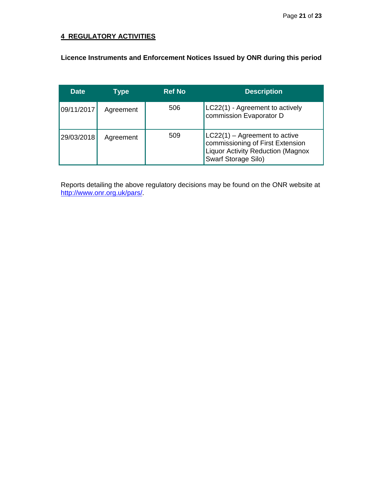# **4 REGULATORY ACTIVITIES**

# **Licence Instruments and Enforcement Notices Issued by ONR during this period**

| <b>Date</b> | Type      | <b>Ref No</b> | <b>Description</b>                                                                                                              |
|-------------|-----------|---------------|---------------------------------------------------------------------------------------------------------------------------------|
| 09/11/2017  | Agreement | 506           | LC22(1) - Agreement to actively<br>commission Evaporator D                                                                      |
| 29/03/2018  | Agreement | 509           | $LC22(1)$ – Agreement to active<br>commissioning of First Extension<br>Liquor Activity Reduction (Magnox<br>Swarf Storage Silo) |

Reports detailing the above regulatory decisions may be found on the ONR website at http://www.onr.org.uk/pars/.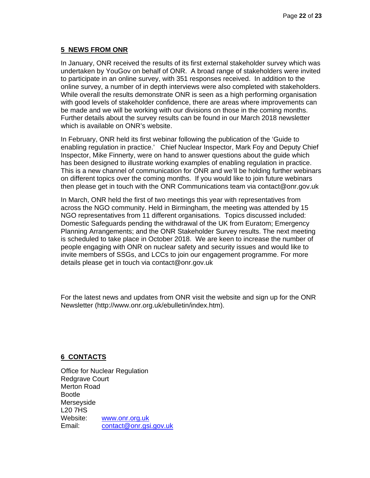# **5 NEWS FROM ONR**

In January, ONR received the results of its first external stakeholder survey which was undertaken by YouGov on behalf of ONR. A broad range of stakeholders were invited to participate in an online survey, with 351 responses received. In addition to the online survey, a number of in depth interviews were also completed with stakeholders. While overall the results demonstrate ONR is seen as a high performing organisation with good levels of stakeholder confidence, there are areas where improvements can be made and we will be working with our divisions on those in the coming months. Further details about the survey results can be found in our March 2018 newsletter which is available on ONR's website.

In February, ONR held its first webinar following the publication of the 'Guide to enabling regulation in practice.' Chief Nuclear Inspector, Mark Foy and Deputy Chief Inspector, Mike Finnerty, were on hand to answer questions about the guide which has been designed to illustrate working examples of enabling regulation in practice. This is a new channel of communication for ONR and we'll be holding further webinars on different topics over the coming months. If you would like to join future webinars then please get in touch with the ONR Communications team via contact@onr.gov.uk

In March, ONR held the first of two meetings this year with representatives from across the NGO community. Held in Birmingham, the meeting was attended by 15 NGO representatives from 11 different organisations. Topics discussed included: Domestic Safeguards pending the withdrawal of the UK from Euratom; Emergency Planning Arrangements; and the ONR Stakeholder Survey results. The next meeting is scheduled to take place in October 2018. We are keen to increase the number of people engaging with ONR on nuclear safety and security issues and would like to invite members of SSGs, and LCCs to join our engagement programme. For more details please get in touch via contact@onr.gov.uk

For the latest news and updates from ONR visit the website and sign up for the ONR Newsletter (http://www.onr.org.uk/ebulletin/index.htm).

#### **6 CONTACTS**

Office for Nuclear Regulation Redgrave Court Merton Road Bootle Merseyside L20 7HS Website: www.onr.org.uk Email: contact@onr.gsi.gov.uk